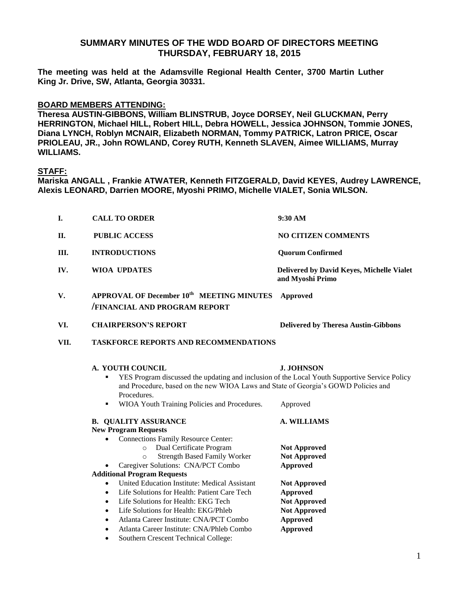## **SUMMARY MINUTES OF THE WDD BOARD OF DIRECTORS MEETING THURSDAY, FEBRUARY 18, 2015**

**The meeting was held at the Adamsville Regional Health Center, 3700 Martin Luther King Jr. Drive, SW, Atlanta, Georgia 30331.** 

## **BOARD MEMBERS ATTENDING:**

**Theresa AUSTIN-GIBBONS, William BLINSTRUB, Joyce DORSEY, Neil GLUCKMAN, Perry HERRINGTON, Michael HILL, Robert HILL, Debra HOWELL, Jessica JOHNSON, Tommie JONES, Diana LYNCH, Roblyn MCNAIR, Elizabeth NORMAN, Tommy PATRICK, Latron PRICE, Oscar PRIOLEAU, JR., John ROWLAND, Corey RUTH, Kenneth SLAVEN, Aimee WILLIAMS, Murray WILLIAMS.**

## **STAFF:**

**Mariska ANGALL , Frankie ATWATER, Kenneth FITZGERALD, David KEYES, Audrey LAWRENCE, Alexis LEONARD, Darrien MOORE, Myoshi PRIMO, Michelle VIALET, Sonia WILSON.**

| I.   | <b>CALL TO ORDER</b>                                                                                                                                                                                                                                                                                                                                                                                                                                                                                                                                                                                                                                                                                  | 9:30 AM                                                                                                                                                                                                    |  |
|------|-------------------------------------------------------------------------------------------------------------------------------------------------------------------------------------------------------------------------------------------------------------------------------------------------------------------------------------------------------------------------------------------------------------------------------------------------------------------------------------------------------------------------------------------------------------------------------------------------------------------------------------------------------------------------------------------------------|------------------------------------------------------------------------------------------------------------------------------------------------------------------------------------------------------------|--|
| П.   | <b>PUBLIC ACCESS</b>                                                                                                                                                                                                                                                                                                                                                                                                                                                                                                                                                                                                                                                                                  | <b>NO CITIZEN COMMENTS</b>                                                                                                                                                                                 |  |
| Ш.   | <b>INTRODUCTIONS</b>                                                                                                                                                                                                                                                                                                                                                                                                                                                                                                                                                                                                                                                                                  | <b>Quorum Confirmed</b>                                                                                                                                                                                    |  |
| IV.  | <b>WIOA UPDATES</b>                                                                                                                                                                                                                                                                                                                                                                                                                                                                                                                                                                                                                                                                                   | Delivered by David Keyes, Michelle Vialet<br>and Myoshi Primo                                                                                                                                              |  |
| V.   | <b>APPROVAL OF December 10th MEETING MINUTES</b><br><b>FINANCIAL AND PROGRAM REPORT</b>                                                                                                                                                                                                                                                                                                                                                                                                                                                                                                                                                                                                               | <b>Approved</b>                                                                                                                                                                                            |  |
| VI.  | <b>CHAIRPERSON'S REPORT</b>                                                                                                                                                                                                                                                                                                                                                                                                                                                                                                                                                                                                                                                                           | <b>Delivered by Theresa Austin-Gibbons</b>                                                                                                                                                                 |  |
| VII. | <b>TASKFORCE REPORTS AND RECOMMENDATIONS</b>                                                                                                                                                                                                                                                                                                                                                                                                                                                                                                                                                                                                                                                          |                                                                                                                                                                                                            |  |
|      | <b>A. YOUTH COUNCIL</b><br><b>J. JOHNSON</b><br>YES Program discussed the updating and inclusion of the Local Youth Supportive Service Policy<br>٠<br>and Procedure, based on the new WIOA Laws and State of Georgia's GOWD Policies and<br>Procedures.<br>WIOA Youth Training Policies and Procedures.<br>Approved<br>٠                                                                                                                                                                                                                                                                                                                                                                              |                                                                                                                                                                                                            |  |
|      | <b>B. QUALITY ASSURANCE</b><br><b>New Program Requests</b><br><b>Connections Family Resource Center:</b><br>$\bullet$<br>Dual Certificate Program<br>$\circ$<br><b>Strength Based Family Worker</b><br>$\circ$<br>Caregiver Solutions: CNA/PCT Combo<br><b>Additional Program Requests</b><br>United Education Institute: Medical Assistant<br>$\bullet$<br>Life Solutions for Health: Patient Care Tech<br>$\bullet$<br>Life Solutions for Health: EKG Tech<br>$\bullet$<br>Life Solutions for Health: EKG/Phleb<br>$\bullet$<br>Atlanta Career Institute: CNA/PCT Combo<br>$\bullet$<br>Atlanta Career Institute: CNA/Phleb Combo<br>$\bullet$<br>Southern Crescent Technical College:<br>$\bullet$ | <b>A. WILLIAMS</b><br><b>Not Approved</b><br><b>Not Approved</b><br>Approved<br><b>Not Approved</b><br><b>Approved</b><br><b>Not Approved</b><br><b>Not Approved</b><br><b>Approved</b><br><b>Approved</b> |  |